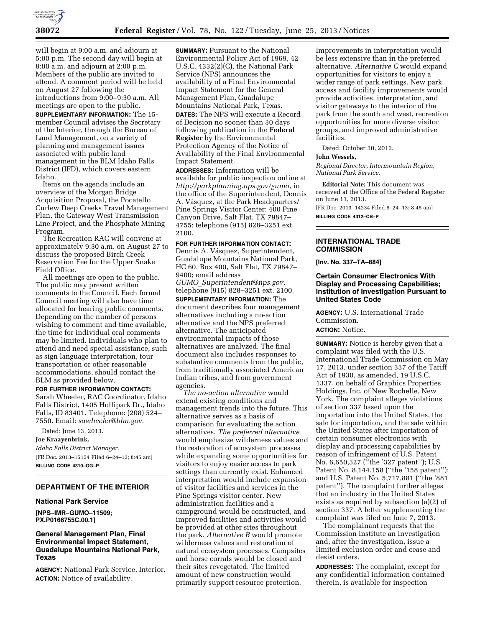

will begin at 9:00 a.m. and adjourn at 5:00 p.m. The second day will begin at 8:00 a.m. and adjourn at 2:00 p.m. Members of the public are invited to attend. A comment period will be held on August 27 following the introductions from 9:00–9:30 a.m. All meetings are open to the public.

**SUPPLEMENTARY INFORMATION:** The 15 member Council advises the Secretary of the Interior, through the Bureau of Land Management, on a variety of planning and management issues associated with public land management in the BLM Idaho Falls District (IFD), which covers eastern Idaho.

Items on the agenda include an overview of the Morgan Bridge Acquisition Proposal, the Pocatello Curlew Deep Creeks Travel Management Plan, the Gateway West Transmission Line Project, and the Phosphate Mining Program.

The Recreation RAC will convene at approximately 9:30 a.m. on August 27 to discuss the proposed Birch Creek Reservation Fee for the Upper Snake Field Office.

All meetings are open to the public. The public may present written comments to the Council. Each formal Council meeting will also have time allocated for hearing public comments. Depending on the number of persons wishing to comment and time available, the time for individual oral comments may be limited. Individuals who plan to attend and need special assistance, such as sign language interpretation, tour transportation or other reasonable accommodations, should contact the BLM as provided below.

#### **FOR FURTHER INFORMATION CONTACT:**

Sarah Wheeler, RAC Coordinator, Idaho Falls District, 1405 Hollipark Dr., Idaho Falls, ID 83401. Telephone: (208) 524– 7550. Email: *[sawheeler@blm.gov.](mailto:sawheeler@blm.gov)* 

Dated: June 13, 2013. **Joe Kraayenbrink,** 

*Idaho Falls District Manager.*  [FR Doc. 2013–15154 Filed 6–24–13; 8:45 am] **BILLING CODE 4310–GG–P** 

# **DEPARTMENT OF THE INTERIOR**

#### **National Park Service**

**[NPS–IMR–GUMO–11509; PX.P0166755C.00.1]** 

**General Management Plan, Final Environmental Impact Statement, Guadalupe Mountains National Park, Texas** 

**AGENCY:** National Park Service, Interior. **ACTION:** Notice of availability.

**SUMMARY:** Pursuant to the National Environmental Policy Act of 1969, 42 U.S.C. 4332(2)(C), the National Park Service (NPS) announces the availability of a Final Environmental Impact Statement for the General Management Plan, Guadalupe Mountains National Park, Texas.

**DATES:** The NPS will execute a Record of Decision no sooner than 30 days following publication in the **Federal Register** by the Environmental Protection Agency of the Notice of Availability of the Final Environmental Impact Statement.

**ADDRESSES:** Information will be available for public inspection online at *[http://parkplanning.nps.gov/gumo,](http://parkplanning.nps.gov/gumo)* in the office of the Superintendent, Dennis A. Vásquez, at the Park Headquarters/ Pine Springs Visitor Center: 400 Pine Canyon Drive, Salt Flat, TX 79847– 4755; telephone (915) 828–3251 ext. 2100.

### **FOR FURTHER INFORMATION CONTACT:**

Dennis A. Vásquez, Superintendent, Guadalupe Mountains National Park, HC 60, Box 400, Salt Flat, TX 79847– 9400; email address *GUMO*\_*[Superintendent@nps.gov;](mailto:GUMO_Superintendent@nps.gov)* 

telephone (915) 828–3251 ext. 2100.

**SUPPLEMENTARY INFORMATION:** The document describes four management alternatives including a no-action alternative and the NPS preferred alternative. The anticipated environmental impacts of those alternatives are analyzed. The final document also includes responses to substantive comments from the public, from traditionally associated American Indian tribes, and from government agencies.

*The no-action alternative* would extend existing conditions and management trends into the future. This alternative serves as a basis of comparison for evaluating the action alternatives. *The preferred alternative*  would emphasize wilderness values and the restoration of ecosystem processes while expanding some opportunities for visitors to enjoy easier access to park settings than currently exist. Enhanced interpretation would include expansion of visitor facilities and services in the Pine Springs visitor center. New administration facilities and a campground would be constructed, and improved facilities and activities would be provided at other sites throughout the park. *Alternative B* would promote wilderness values and restoration of natural ecosystem processes. Campsites and horse corrals would be closed and their sites revegetated. The limited amount of new construction would primarily support resource protection.

Improvements in interpretation would be less extensive than in the preferred alternative. *Alternative C* would expand opportunities for visitors to enjoy a wider range of park settings. New park access and facility improvements would provide activities, interpretation, and visitor gateways to the interior of the park from the south and west, recreation opportunities for more diverse visitor groups, and improved administrative facilities.

Dated: October 30, 2012.

### **John Wessels,**

*Regional Director, Intermountain Region, National Park Service.* 

**Editorial Note:** This document was received at the Office of the Federal Register on June 11, 2013. [FR Doc. 2013–14234 Filed 6–24–13; 8:45 am]

**BILLING CODE 4312–CB–P** 

### **INTERNATIONAL TRADE COMMISSION**

**[Inv. No. 337–TA–884]** 

## **Certain Consumer Electronics With Display and Processing Capabilities; Institution of Investigation Pursuant to United States Code**

**AGENCY:** U.S. International Trade Commission.

**ACTION:** Notice.

**SUMMARY:** Notice is hereby given that a complaint was filed with the U.S. International Trade Commission on May 17, 2013, under section 337 of the Tariff Act of 1930, as amended, 19 U.S.C. 1337, on behalf of Graphics Properties Holdings, Inc. of New Rochelle, New York. The complaint alleges violations of section 337 based upon the importation into the United States, the sale for importation, and the sale within the United States after importation of certain consumer electronics with display and processing capabilities by reason of infringement of U.S. Patent No. 6,650,327 ("the '327 patent"); U.S. Patent No. 8,144,158 ("the '158 patent"); and U.S. Patent No. 5,717,881 (''the '881 patent''). The complaint further alleges that an industry in the United States exists as required by subsection (a)(2) of section 337. A letter supplementing the complaint was filed on June 7, 2013.

The complainant requests that the Commission institute an investigation and, after the investigation, issue a limited exclusion order and cease and desist orders.

**ADDRESSES:** The complaint, except for any confidential information contained therein, is available for inspection